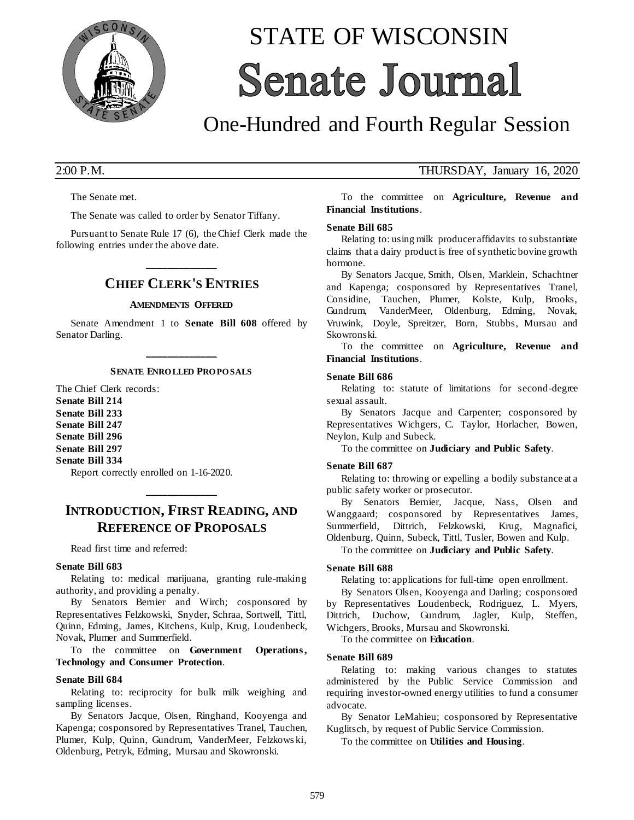

# STATE OF WISCONSIN **Senate Journal**

## One-Hundred and Fourth Regular Session

The Senate met.

The Senate was called to order by Senator Tiffany.

Pursuant to Senate Rule 17 (6), the Chief Clerk made the following entries under the above date.

## **\_\_\_\_\_\_\_\_\_\_\_\_\_ CHIEF CLERK'S ENTRIES**

#### **AMENDMENTS OFFERED**

Senate Amendment 1 to **Senate Bill 608** offered by Senator Darling.

## **\_\_\_\_\_\_\_\_\_\_\_\_\_ SENATE ENRO LLED PRO PO SALS**

The Chief Clerk records: **Senate Bill 214 Senate Bill 233 Senate Bill 247 Senate Bill 296 Senate Bill 297 Senate Bill 334**

Report correctly enrolled on 1-16-2020.

## **INTRODUCTION, FIRST READING, AND REFERENCE OF PROPOSALS**

**\_\_\_\_\_\_\_\_\_\_\_\_\_**

Read first time and referred:

#### **Senate Bill 683**

Relating to: medical marijuana, granting rule-making authority, and providing a penalty.

By Senators Bernier and Wirch; cosponsored by Representatives Felzkowski, Snyder, Schraa, Sortwell, Tittl, Quinn, Edming, James, Kitchens, Kulp, Krug, Loudenbeck, Novak, Plumer and Summerfield.

To the committee on **Government Operations , Technology and Consumer Protection**.

#### **Senate Bill 684**

Relating to: reciprocity for bulk milk weighing and sampling licenses.

By Senators Jacque, Olsen, Ringhand, Kooyenga and Kapenga; cosponsored by Representatives Tranel, Tauchen, Plumer, Kulp, Quinn, Gundrum, VanderMeer, Felzkows ki, Oldenburg, Petryk, Edming, Mursau and Skowronski.

### 2:00 P.M. THURSDAY, January 16, 2020

To the committee on **Agriculture, Revenue and Financial Institutions**.

#### **Senate Bill 685**

Relating to: using milk producer affidavits to substantiate claims that a dairy product is free of synthetic bovine growth hormone.

By Senators Jacque, Smith, Olsen, Marklein, Schachtner and Kapenga; cosponsored by Representatives Tranel, Considine, Tauchen, Plumer, Kolste, Kulp, Brooks, Gundrum, VanderMeer, Oldenburg, Edming, Novak, Vruwink, Doyle, Spreitzer, Born, Stubbs, Mursau and Skowronski.

To the committee on **Agriculture, Revenue and Financial Institutions**.

#### **Senate Bill 686**

Relating to: statute of limitations for second-degree sexual assault.

By Senators Jacque and Carpenter; cosponsored by Representatives Wichgers, C. Taylor, Horlacher, Bowen, Neylon, Kulp and Subeck.

To the committee on **Judiciary and Public Safety**.

#### **Senate Bill 687**

Relating to: throwing or expelling a bodily substance at a public safety worker or prosecutor.

By Senators Bernier, Jacque, Nass, Olsen and Wanggaard; cosponsored by Representatives James, Summerfield, Dittrich, Felzkowski, Krug, Magnafici, Oldenburg, Quinn, Subeck, Tittl, Tusler, Bowen and Kulp.

To the committee on **Judiciary and Public Safety**.

#### **Senate Bill 688**

Relating to: applications for full-time open enrollment.

By Senators Olsen, Kooyenga and Darling; cosponsored by Representatives Loudenbeck, Rodriguez, L. Myers, Dittrich, Duchow, Gundrum, Jagler, Kulp, Steffen, Wichgers, Brooks, Mursau and Skowronski.

To the committee on **Education**.

#### **Senate Bill 689**

Relating to: making various changes to statutes administered by the Public Service Commission and requiring investor-owned energy utilities to fund a consumer advocate.

By Senator LeMahieu; cosponsored by Representative Kuglitsch, by request of Public Service Commission.

To the committee on **Utilities and Housing**.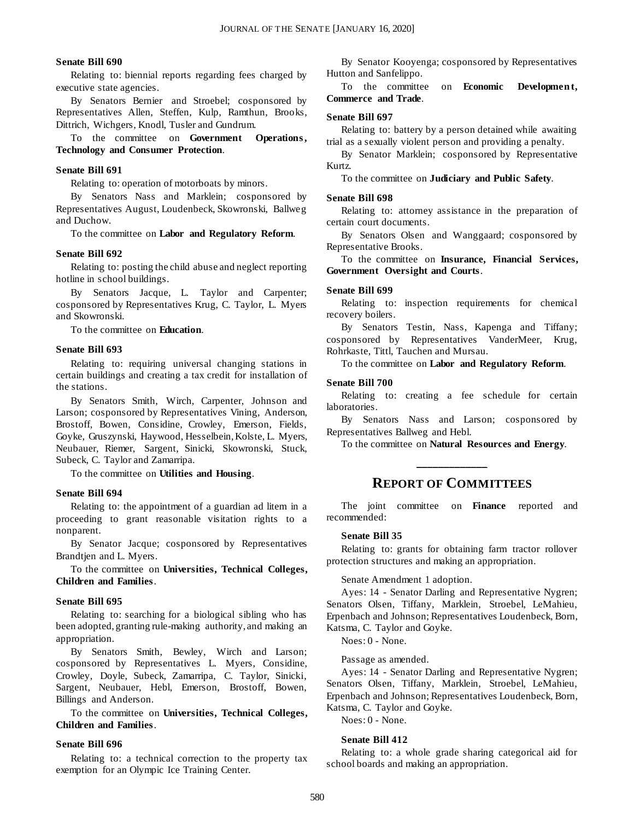#### **Senate Bill 690**

Relating to: biennial reports regarding fees charged by executive state agencies.

By Senators Bernier and Stroebel; cosponsored by Representatives Allen, Steffen, Kulp, Ramthun, Brooks, Dittrich, Wichgers, Knodl, Tusler and Gundrum.

To the committee on **Government Operations , Technology and Consumer Protection**.

#### **Senate Bill 691**

Relating to: operation of motorboats by minors.

By Senators Nass and Marklein; cosponsored by Representatives August, Loudenbeck, Skowronski, Ballweg and Duchow.

To the committee on **Labor and Regulatory Reform**.

#### **Senate Bill 692**

Relating to: posting the child abuse and neglect reporting hotline in school buildings.

By Senators Jacque, L. Taylor and Carpenter; cosponsored by Representatives Krug, C. Taylor, L. Myers and Skowronski.

To the committee on **Education**.

#### **Senate Bill 693**

Relating to: requiring universal changing stations in certain buildings and creating a tax credit for installation of the stations.

By Senators Smith, Wirch, Carpenter, Johnson and Larson; cosponsored by Representatives Vining, Anderson, Brostoff, Bowen, Considine, Crowley, Emerson, Fields, Goyke, Gruszynski, Haywood, Hesselbein, Kolste, L. Myers, Neubauer, Riemer, Sargent, Sinicki, Skowronski, Stuck, Subeck, C. Taylor and Zamarripa.

To the committee on **Utilities and Housing**.

#### **Senate Bill 694**

Relating to: the appointment of a guardian ad litem in a proceeding to grant reasonable visitation rights to a nonparent.

By Senator Jacque; cosponsored by Representatives Brandtjen and L. Myers.

To the committee on **Universities, Technical Colleges, Children and Families**.

#### **Senate Bill 695**

Relating to: searching for a biological sibling who has been adopted, granting rule-making authority, and making an appropriation.

By Senators Smith, Bewley, Wirch and Larson; cosponsored by Representatives L. Myers, Considine, Crowley, Doyle, Subeck, Zamarripa, C. Taylor, Sinicki, Sargent, Neubauer, Hebl, Emerson, Brostoff, Bowen, Billings and Anderson.

To the committee on **Universities, Technical Colleges, Children and Families**.

#### **Senate Bill 696**

Relating to: a technical correction to the property tax exemption for an Olympic Ice Training Center.

By Senator Kooyenga; cosponsored by Representatives Hutton and Sanfelippo.

To the committee on **Economic Development**, **Commerce and Trade**.

#### **Senate Bill 697**

Relating to: battery by a person detained while awaiting trial as a sexually violent person and providing a penalty.

By Senator Marklein; cosponsored by Representative Kurtz.

To the committee on **Judiciary and Public Safety**.

#### **Senate Bill 698**

Relating to: attorney assistance in the preparation of certain court documents.

By Senators Olsen and Wanggaard; cosponsored by Representative Brooks.

To the committee on **Insurance, Financial Services, Government Oversight and Courts**.

#### **Senate Bill 699**

Relating to: inspection requirements for chemical recovery boilers.

By Senators Testin, Nass, Kapenga and Tiffany; cosponsored by Representatives VanderMeer, Krug, Rohrkaste, Tittl, Tauchen and Mursau.

To the committee on **Labor and Regulatory Reform**.

#### **Senate Bill 700**

Relating to: creating a fee schedule for certain laboratories.

By Senators Nass and Larson; cosponsored by Representatives Ballweg and Hebl.

To the committee on **Natural Resources and Energy**. **\_\_\_\_\_\_\_\_\_\_\_\_\_**

#### **REPORT OF COMMITTEES**

The joint committee on **Finance** reported and recommended:

#### **Senate Bill 35**

Relating to: grants for obtaining farm tractor rollover protection structures and making an appropriation.

Senate Amendment 1 adoption.

Ayes: 14 - Senator Darling and Representative Nygren; Senators Olsen, Tiffany, Marklein, Stroebel, LeMahieu, Erpenbach and Johnson; Representatives Loudenbeck, Born, Katsma, C. Taylor and Goyke.

Noes: 0 - None.

Passage as amended.

Ayes: 14 - Senator Darling and Representative Nygren; Senators Olsen, Tiffany, Marklein, Stroebel, LeMahieu, Erpenbach and Johnson; Representatives Loudenbeck, Born, Katsma, C. Taylor and Goyke.

Noes: 0 - None.

#### **Senate Bill 412**

Relating to: a whole grade sharing categorical aid for school boards and making an appropriation.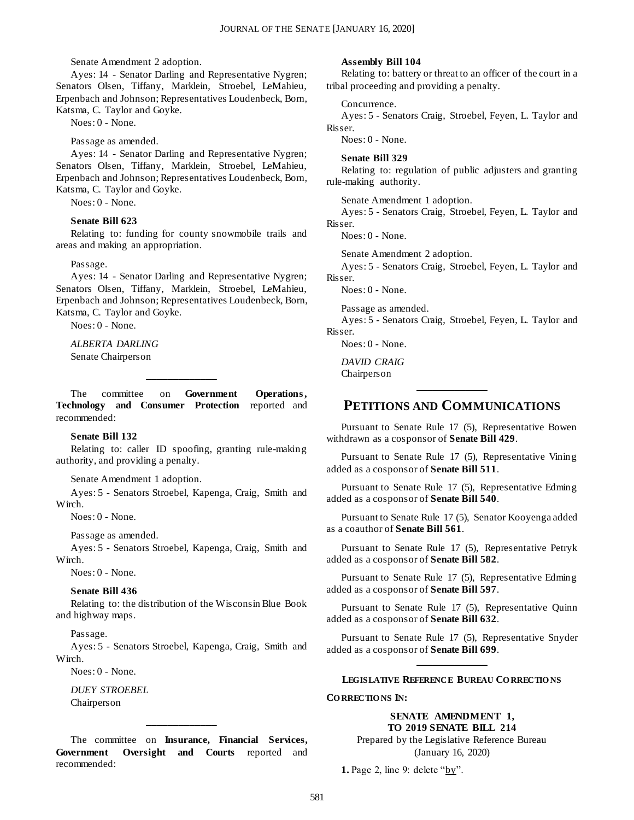Senate Amendment 2 adoption.

Ayes: 14 - Senator Darling and Representative Nygren; Senators Olsen, Tiffany, Marklein, Stroebel, LeMahieu, Erpenbach and Johnson; Representatives Loudenbeck, Born, Katsma, C. Taylor and Goyke.

Noes: 0 - None.

Passage as amended.

Ayes: 14 - Senator Darling and Representative Nygren; Senators Olsen, Tiffany, Marklein, Stroebel, LeMahieu, Erpenbach and Johnson; Representatives Loudenbeck, Born, Katsma, C. Taylor and Goyke.

Noes: 0 - None.

#### **Senate Bill 623**

Relating to: funding for county snowmobile trails and areas and making an appropriation.

#### Passage.

Ayes: 14 - Senator Darling and Representative Nygren; Senators Olsen, Tiffany, Marklein, Stroebel, LeMahieu, Erpenbach and Johnson; Representatives Loudenbeck, Born, Katsma, C. Taylor and Goyke.

Noes: 0 - None.

*ALBERTA DARLING* Senate Chairperson

The committee on **Government Operations , Technology and Consumer Protection** reported and recommended:

**\_\_\_\_\_\_\_\_\_\_\_\_\_**

#### **Senate Bill 132**

Relating to: caller ID spoofing, granting rule-making authority, and providing a penalty.

Senate Amendment 1 adoption.

Ayes: 5 - Senators Stroebel, Kapenga, Craig, Smith and Wirch.

Noes: 0 - None.

Passage as amended.

Ayes: 5 - Senators Stroebel, Kapenga, Craig, Smith and Wirch.

Noes: 0 - None.

#### **Senate Bill 436**

Relating to: the distribution of the Wisconsin Blue Book and highway maps.

Passage.

Ayes: 5 - Senators Stroebel, Kapenga, Craig, Smith and Wirch.

Noes: 0 - None.

*DUEY STROEBEL* Chairperson

The committee on **Insurance, Financial Services, Government Oversight and Courts** reported and recommended:

**\_\_\_\_\_\_\_\_\_\_\_\_\_**

#### **Assembly Bill 104**

Relating to: battery or threat to an officer of the court in a tribal proceeding and providing a penalty.

#### Concurrence.

Ayes: 5 - Senators Craig, Stroebel, Feyen, L. Taylor and Risser.

Noes: 0 - None.

#### **Senate Bill 329**

Relating to: regulation of public adjusters and granting rule-making authority.

Senate Amendment 1 adoption.

Ayes: 5 - Senators Craig, Stroebel, Feyen, L. Taylor and Risser.

Noes: 0 - None.

Senate Amendment 2 adoption.

Ayes: 5 - Senators Craig, Stroebel, Feyen, L. Taylor and Risser.

Noes: 0 - None.

Passage as amended.

Ayes: 5 - Senators Craig, Stroebel, Feyen, L. Taylor and Risser.

Noes: 0 - None.

*DAVID CRAIG* Chairperson

## **\_\_\_\_\_\_\_\_\_\_\_\_\_ PETITIONS AND COMMUNICATIONS**

Pursuant to Senate Rule 17 (5), Representative Bowen withdrawn as a cosponsor of **Senate Bill 429**.

Pursuant to Senate Rule 17 (5), Representative Vining added as a cosponsor of **Senate Bill 511**.

Pursuant to Senate Rule 17 (5), Representative Edming added as a cosponsor of **Senate Bill 540**.

Pursuant to Senate Rule 17 (5), Senator Kooyenga added as a coauthor of **Senate Bill 561**.

Pursuant to Senate Rule 17 (5), Representative Petryk added as a cosponsor of **Senate Bill 582**.

Pursuant to Senate Rule 17 (5), Representative Edming added as a cosponsor of **Senate Bill 597**.

Pursuant to Senate Rule 17 (5), Representative Quinn added as a cosponsor of **Senate Bill 632**.

Pursuant to Senate Rule 17 (5), Representative Snyder added as a cosponsor of **Senate Bill 699**. **\_\_\_\_\_\_\_\_\_\_\_\_\_**

#### **LEGISLATIVE REFERENCE BUREAU CO RRECTIO NS**

**CO RRECTIO NS IN:**

#### **SENATE AMENDMENT 1, TO 2019 SENATE BILL 214**

Prepared by the Legislative Reference Bureau (January 16, 2020)

**1.** Page 2, line 9: delete "by".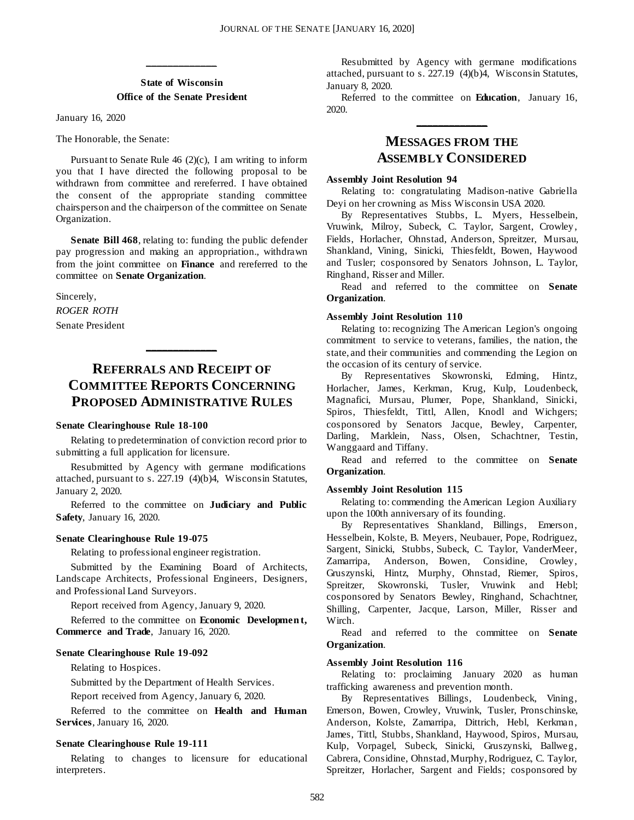#### **State of Wisconsin Office of the Senate President**

**\_\_\_\_\_\_\_\_\_\_\_\_\_**

January 16, 2020

The Honorable, the Senate:

Pursuant to Senate Rule 46 (2)(c), I am writing to inform you that I have directed the following proposal to be withdrawn from committee and rereferred. I have obtained the consent of the appropriate standing committee chairsperson and the chairperson of the committee on Senate Organization.

**Senate Bill 468**, relating to: funding the public defender pay progression and making an appropriation., withdrawn from the joint committee on **Finance** and rereferred to the committee on **Senate Organization**.

Sincerely, *ROGER ROTH* Senate President

## **REFERRALS AND RECEIPT OF COMMITTEE REPORTS CONCERNING PROPOSED ADMINISTRATIVE RULES**

**\_\_\_\_\_\_\_\_\_\_\_\_\_**

#### **Senate Clearinghouse Rule 18-100**

Relating to predetermination of conviction record prior to submitting a full application for licensure.

Resubmitted by Agency with germane modifications attached, pursuant to s. 227.19 (4)(b)4, Wisconsin Statutes, January 2, 2020.

Referred to the committee on **Judiciary and Public Safety**, January 16, 2020.

#### **Senate Clearinghouse Rule 19-075**

Relating to professional engineer registration.

Submitted by the Examining Board of Architects, Landscape Architects, Professional Engineers, Designers, and Professional Land Surveyors.

Report received from Agency, January 9, 2020.

Referred to the committee on **Economic Developmen t, Commerce and Trade**, January 16, 2020.

#### **Senate Clearinghouse Rule 19-092**

Relating to Hospices.

Submitted by the Department of Health Services.

Report received from Agency, January 6, 2020.

Referred to the committee on **Health and Human Services**, January 16, 2020.

#### **Senate Clearinghouse Rule 19-111**

Relating to changes to licensure for educational interpreters.

Resubmitted by Agency with germane modifications attached, pursuant to s. 227.19 (4)(b)4, Wisconsin Statutes, January 8, 2020.

Referred to the committee on **Education**, January 16, 2020. **\_\_\_\_\_\_\_\_\_\_\_\_\_**

## **MESSAGES FROM THE ASSEMBLY CONSIDERED**

#### **Assembly Joint Resolution 94**

Relating to: congratulating Madison-native Gabriella Deyi on her crowning as Miss Wisconsin USA 2020.

By Representatives Stubbs, L. Myers, Hesselbein, Vruwink, Milroy, Subeck, C. Taylor, Sargent, Crowley, Fields, Horlacher, Ohnstad, Anderson, Spreitzer, Mursau, Shankland, Vining, Sinicki, Thiesfeldt, Bowen, Haywood and Tusler; cosponsored by Senators Johnson, L. Taylor, Ringhand, Risser and Miller.

Read and referred to the committee on **Senate Organization**.

#### **Assembly Joint Resolution 110**

Relating to: recognizing The American Legion's ongoing commitment to service to veterans, families, the nation, the state, and their communities and commending the Legion on the occasion of its century of service.

By Representatives Skowronski, Edming, Hintz, Horlacher, James, Kerkman, Krug, Kulp, Loudenbeck, Magnafici, Mursau, Plumer, Pope, Shankland, Sinicki, Spiros, Thiesfeldt, Tittl, Allen, Knodl and Wichgers; cosponsored by Senators Jacque, Bewley, Carpenter, Darling, Marklein, Nass, Olsen, Schachtner, Testin, Wanggaard and Tiffany.

Read and referred to the committee on **Senate Organization**.

#### **Assembly Joint Resolution 115**

Relating to: commending the American Legion Auxiliary upon the 100th anniversary of its founding.

By Representatives Shankland, Billings, Emerson, Hesselbein, Kolste, B. Meyers, Neubauer, Pope, Rodriguez, Sargent, Sinicki, Stubbs, Subeck, C. Taylor, VanderMeer, Zamarripa, Anderson, Bowen, Considine, Crowley, Gruszynski, Hintz, Murphy, Ohnstad, Riemer, Spiros, Spreitzer, Skowronski, Tusler, Vruwink and Hebl; cosponsored by Senators Bewley, Ringhand, Schachtner, Shilling, Carpenter, Jacque, Larson, Miller, Risser and Wirch.

Read and referred to the committee on **Senate Organization**.

#### **Assembly Joint Resolution 116**

Relating to: proclaiming January 2020 as human trafficking awareness and prevention month.

By Representatives Billings, Loudenbeck, Vining, Emerson, Bowen, Crowley, Vruwink, Tusler, Pronschinske, Anderson, Kolste, Zamarripa, Dittrich, Hebl, Kerkman, James, Tittl, Stubbs, Shankland, Haywood, Spiros, Mursau, Kulp, Vorpagel, Subeck, Sinicki, Gruszynski, Ballweg, Cabrera, Considine, Ohnstad, Murphy, Rodriguez, C. Taylor, Spreitzer, Horlacher, Sargent and Fields; cosponsored by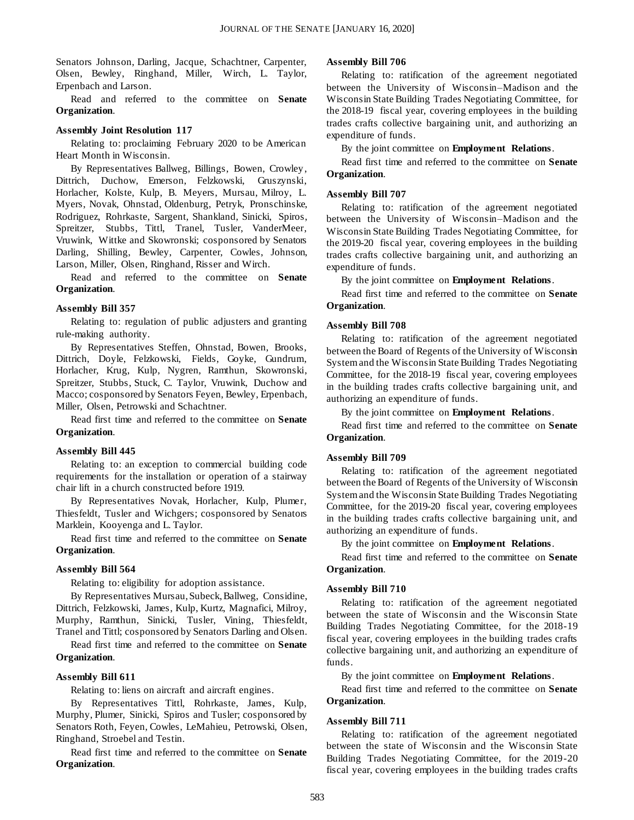Senators Johnson, Darling, Jacque, Schachtner, Carpenter, Olsen, Bewley, Ringhand, Miller, Wirch, L. Taylor, Erpenbach and Larson.

Read and referred to the committee on **Senate Organization**.

#### **Assembly Joint Resolution 117**

Relating to: proclaiming February 2020 to be American Heart Month in Wisconsin.

By Representatives Ballweg, Billings, Bowen, Crowley, Dittrich, Duchow, Emerson, Felzkowski, Gruszynski, Horlacher, Kolste, Kulp, B. Meyers, Mursau, Milroy, L. Myers, Novak, Ohnstad, Oldenburg, Petryk, Pronschinske, Rodriguez, Rohrkaste, Sargent, Shankland, Sinicki, Spiros, Spreitzer, Stubbs, Tittl, Tranel, Tusler, VanderMeer, Vruwink, Wittke and Skowronski; cosponsored by Senators Darling, Shilling, Bewley, Carpenter, Cowles, Johnson, Larson, Miller, Olsen, Ringhand, Risser and Wirch.

Read and referred to the committee on **Senate Organization**.

#### **Assembly Bill 357**

Relating to: regulation of public adjusters and granting rule-making authority.

By Representatives Steffen, Ohnstad, Bowen, Brooks, Dittrich, Doyle, Felzkowski, Fields, Goyke, Gundrum, Horlacher, Krug, Kulp, Nygren, Ramthun, Skowronski, Spreitzer, Stubbs, Stuck, C. Taylor, Vruwink, Duchow and Macco; cosponsored by Senators Feyen, Bewley, Erpenbach, Miller, Olsen, Petrowski and Schachtner.

Read first time and referred to the committee on **Senate Organization**.

#### **Assembly Bill 445**

Relating to: an exception to commercial building code requirements for the installation or operation of a stairway chair lift in a church constructed before 1919.

By Representatives Novak, Horlacher, Kulp, Plumer, Thiesfeldt, Tusler and Wichgers; cosponsored by Senators Marklein, Kooyenga and L. Taylor.

Read first time and referred to the committee on **Senate Organization**.

#### **Assembly Bill 564**

Relating to: eligibility for adoption assistance.

By Representatives Mursau, Subeck, Ballweg, Considine, Dittrich, Felzkowski, James, Kulp, Kurtz, Magnafici, Milroy, Murphy, Ramthun, Sinicki, Tusler, Vining, Thiesfeldt, Tranel and Tittl; cosponsored by Senators Darling and Olsen.

Read first time and referred to the committee on **Senate Organization**.

#### **Assembly Bill 611**

Relating to: liens on aircraft and aircraft engines.

By Representatives Tittl, Rohrkaste, James, Kulp, Murphy, Plumer, Sinicki, Spiros and Tusler; cosponsored by Senators Roth, Feyen, Cowles, LeMahieu, Petrowski, Olsen, Ringhand, Stroebel and Testin.

Read first time and referred to the committee on **Senate Organization**.

#### **Assembly Bill 706**

Relating to: ratification of the agreement negotiated between the University of Wisconsin–Madison and the Wisconsin State Building Trades Negotiating Committee, for the 2018-19 fiscal year, covering employees in the building trades crafts collective bargaining unit, and authorizing an expenditure of funds.

By the joint committee on **Employment Relations**.

Read first time and referred to the committee on **Senate Organization**.

#### **Assembly Bill 707**

Relating to: ratification of the agreement negotiated between the University of Wisconsin–Madison and the Wisconsin State Building Trades Negotiating Committee, for the 2019-20 fiscal year, covering employees in the building trades crafts collective bargaining unit, and authorizing an expenditure of funds.

By the joint committee on **Employment Relations**.

Read first time and referred to the committee on **Senate Organization**.

#### **Assembly Bill 708**

Relating to: ratification of the agreement negotiated between the Board of Regents of the University of Wisconsin System and the Wisconsin State Building Trades Negotiating Committee, for the 2018-19 fiscal year, covering employees in the building trades crafts collective bargaining unit, and authorizing an expenditure of funds.

By the joint committee on **Employment Relations**.

Read first time and referred to the committee on **Senate Organization**.

#### **Assembly Bill 709**

Relating to: ratification of the agreement negotiated between the Board of Regents of the University of Wisconsin System and the Wisconsin State Building Trades Negotiating Committee, for the 2019-20 fiscal year, covering employees in the building trades crafts collective bargaining unit, and authorizing an expenditure of funds.

By the joint committee on **Employment Relations**.

Read first time and referred to the committee on **Senate Organization**.

#### **Assembly Bill 710**

Relating to: ratification of the agreement negotiated between the state of Wisconsin and the Wisconsin State Building Trades Negotiating Committee, for the 2018-19 fiscal year, covering employees in the building trades crafts collective bargaining unit, and authorizing an expenditure of funds.

By the joint committee on **Employment Relations**.

Read first time and referred to the committee on **Senate Organization**.

#### **Assembly Bill 711**

Relating to: ratification of the agreement negotiated between the state of Wisconsin and the Wisconsin State Building Trades Negotiating Committee, for the 2019-20 fiscal year, covering employees in the building trades crafts